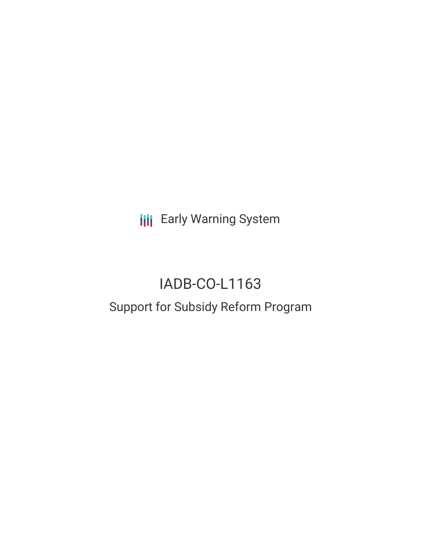**III** Early Warning System

# IADB-CO-L1163 Support for Subsidy Reform Program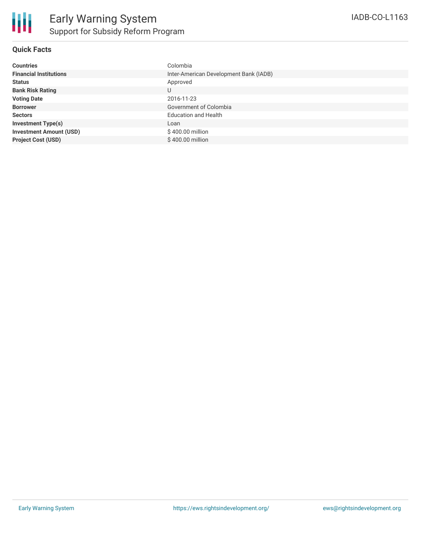

#### **Quick Facts**

| <b>Countries</b>               | Colombia                               |
|--------------------------------|----------------------------------------|
| <b>Financial Institutions</b>  | Inter-American Development Bank (IADB) |
| <b>Status</b>                  | Approved                               |
| <b>Bank Risk Rating</b>        | U                                      |
| <b>Voting Date</b>             | 2016-11-23                             |
| <b>Borrower</b>                | Government of Colombia                 |
| <b>Sectors</b>                 | <b>Education and Health</b>            |
| <b>Investment Type(s)</b>      | Loan                                   |
| <b>Investment Amount (USD)</b> | \$400.00 million                       |
| <b>Project Cost (USD)</b>      | \$400.00 million                       |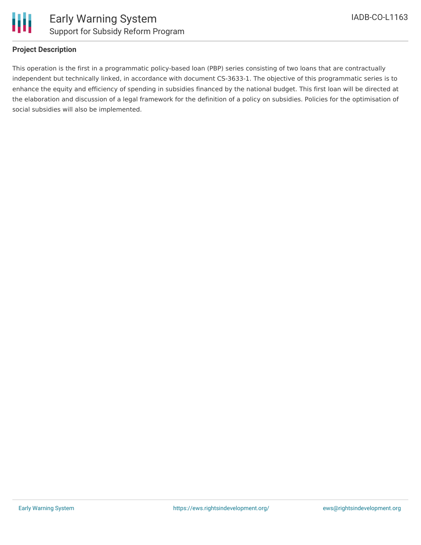

## **Project Description**

This operation is the first in a programmatic policy-based loan (PBP) series consisting of two loans that are contractually independent but technically linked, in accordance with document CS-3633-1. The objective of this programmatic series is to enhance the equity and efficiency of spending in subsidies financed by the national budget. This first loan will be directed at the elaboration and discussion of a legal framework for the definition of a policy on subsidies. Policies for the optimisation of social subsidies will also be implemented.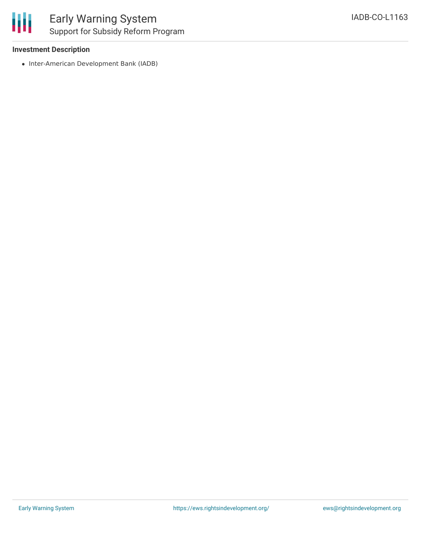

#### **Investment Description**

• Inter-American Development Bank (IADB)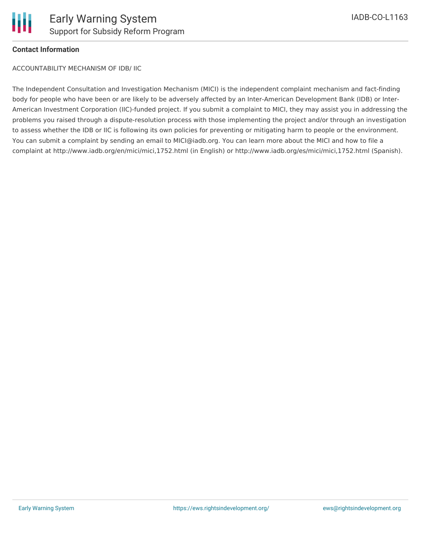

#### **Contact Information**

ACCOUNTABILITY MECHANISM OF IDB/ IIC

The Independent Consultation and Investigation Mechanism (MICI) is the independent complaint mechanism and fact-finding body for people who have been or are likely to be adversely affected by an Inter-American Development Bank (IDB) or Inter-American Investment Corporation (IIC)-funded project. If you submit a complaint to MICI, they may assist you in addressing the problems you raised through a dispute-resolution process with those implementing the project and/or through an investigation to assess whether the IDB or IIC is following its own policies for preventing or mitigating harm to people or the environment. You can submit a complaint by sending an email to MICI@iadb.org. You can learn more about the MICI and how to file a complaint at http://www.iadb.org/en/mici/mici,1752.html (in English) or http://www.iadb.org/es/mici/mici,1752.html (Spanish).